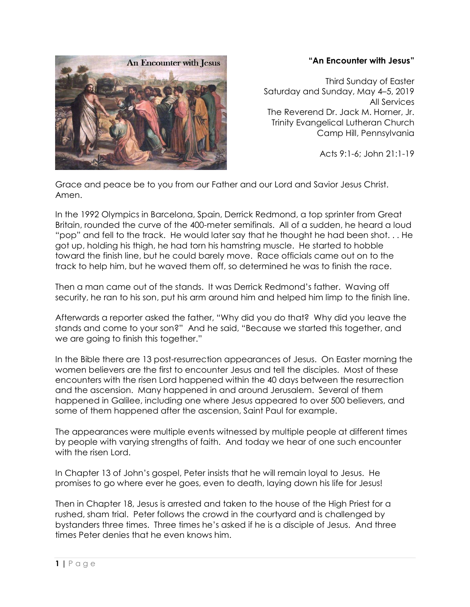## **"An Encounter with Jesus"**



Third Sunday of Easter Saturday and Sunday, May 4–5, 2019 All Services The Reverend Dr. Jack M. Horner, Jr. Trinity Evangelical Lutheran Church Camp Hill, Pennsylvania

Acts 9:1-6; John 21:1-19

Grace and peace be to you from our Father and our Lord and Savior Jesus Christ. Amen.

In the 1992 Olympics in Barcelona, Spain, Derrick Redmond, a top sprinter from Great Britain, rounded the curve of the 400-meter semifinals. All of a sudden, he heard a loud "pop" and fell to the track. He would later say that he thought he had been shot. . . He got up, holding his thigh, he had torn his hamstring muscle. He started to hobble toward the finish line, but he could barely move. Race officials came out on to the track to help him, but he waved them off, so determined he was to finish the race.

Then a man came out of the stands. It was Derrick Redmond's father. Waving off security, he ran to his son, put his arm around him and helped him limp to the finish line.

Afterwards a reporter asked the father, "Why did you do that? Why did you leave the stands and come to your son?" And he said, "Because we started this together, and we are going to finish this together."

In the Bible there are 13 post-resurrection appearances of Jesus. On Easter morning the women believers are the first to encounter Jesus and tell the disciples. Most of these encounters with the risen Lord happened within the 40 days between the resurrection and the ascension. Many happened in and around Jerusalem. Several of them happened in Galilee, including one where Jesus appeared to over 500 believers, and some of them happened after the ascension, Saint Paul for example.

The appearances were multiple events witnessed by multiple people at different times by people with varying strengths of faith. And today we hear of one such encounter with the risen Lord.

In Chapter 13 of John's gospel, Peter insists that he will remain loyal to Jesus. He promises to go where ever he goes, even to death, laying down his life for Jesus!

Then in Chapter 18, Jesus is arrested and taken to the house of the High Priest for a rushed, sham trial. Peter follows the crowd in the courtyard and is challenged by bystanders three times. Three times he's asked if he is a disciple of Jesus. And three times Peter denies that he even knows him.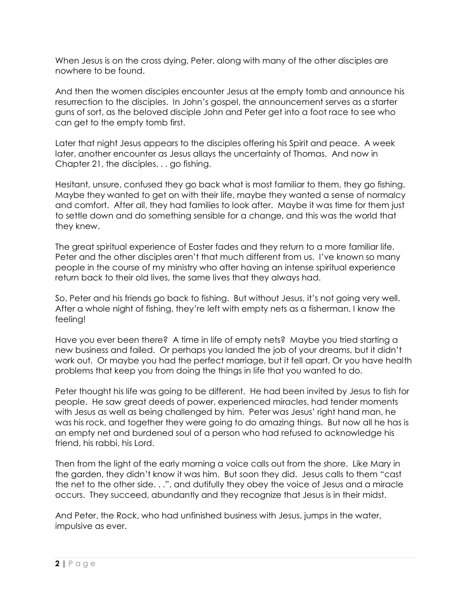When Jesus is on the cross dying, Peter, along with many of the other disciples are nowhere to be found.

And then the women disciples encounter Jesus at the empty tomb and announce his resurrection to the disciples. In John's gospel, the announcement serves as a starter guns of sort, as the beloved disciple John and Peter get into a foot race to see who can get to the empty tomb first.

Later that night Jesus appears to the disciples offering his Spirit and peace. A week later, another encounter as Jesus allays the uncertainty of Thomas. And now in Chapter 21, the disciples. . . go fishing.

Hesitant, unsure, confused they go back what is most familiar to them, they go fishing. Maybe they wanted to get on with their life, maybe they wanted a sense of normalcy and comfort. After all, they had families to look after. Maybe it was time for them just to settle down and do something sensible for a change, and this was the world that they knew.

The great spiritual experience of Easter fades and they return to a more familiar life. Peter and the other disciples aren't that much different from us. I've known so many people in the course of my ministry who after having an intense spiritual experience return back to their old lives, the same lives that they always had.

So, Peter and his friends go back to fishing. But without Jesus, it's not going very well. After a whole night of fishing, they're left with empty nets as a fisherman, I know the feeling!

Have you ever been there? A time in life of empty nets? Maybe you tried starting a new business and failed. Or perhaps you landed the job of your dreams, but it didn't work out. Or maybe you had the perfect marriage, but it fell apart. Or you have health problems that keep you from doing the things in life that you wanted to do.

Peter thought his life was going to be different. He had been invited by Jesus to fish for people. He saw great deeds of power, experienced miracles, had tender moments with Jesus as well as being challenged by him. Peter was Jesus' right hand man, he was his rock, and together they were going to do amazing things. But now all he has is an empty net and burdened soul of a person who had refused to acknowledge his friend, his rabbi, his Lord.

Then from the light of the early morning a voice calls out from the shore. Like Mary in the garden, they didn't know it was him. But soon they did. Jesus calls to them "cast the net to the other side. . .", and dutifully they obey the voice of Jesus and a miracle occurs. They succeed, abundantly and they recognize that Jesus is in their midst.

And Peter, the Rock, who had unfinished business with Jesus, jumps in the water, impulsive as ever.